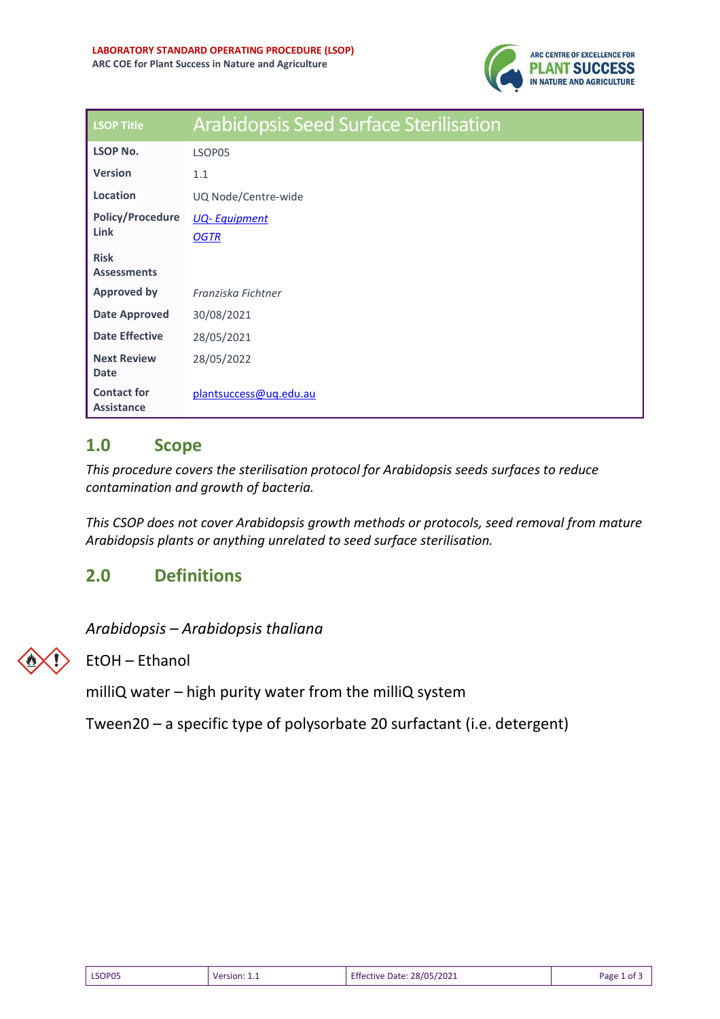

| <b>LSOP Title</b>                 | <b>Arabidopsis Seed Surface Sterilisation</b> |
|-----------------------------------|-----------------------------------------------|
| <b>LSOP No.</b>                   | LSOP05                                        |
| <b>Version</b>                    | 1.1                                           |
| Location                          | UQ Node/Centre-wide                           |
| <b>Policy/Procedure</b>           | <b>UQ-Equipment</b>                           |
| Link                              | <b>OGTR</b>                                   |
| <b>Risk</b><br><b>Assessments</b> |                                               |
| <b>Approved by</b>                | Franziska Fichtner                            |
| <b>Date Approved</b>              |                                               |
|                                   | 30/08/2021                                    |
| <b>Date Effective</b>             | 28/05/2021                                    |
| <b>Next Review</b>                | 28/05/2022                                    |
| <b>Date</b>                       |                                               |
| <b>Contact for</b><br>Assistance  | plantsuccess@uq.edu.au                        |

### **1.0 Scope**

*This procedure covers the sterilisation protocol for Arabidopsis seeds surfaces to reduce contamination and growth of bacteria.*

*This CSOP does not cover Arabidopsis growth methods or protocols, seed removal from mature Arabidopsis plants or anything unrelated to seed surface sterilisation.* 

### **2.0 Definitions**

*Arabidopsis – Arabidopsis thaliana* 



EtOH – Ethanol

milliQ water – high purity water from the milliQ system

Tween20 – a specific type of polysorbate 20 surfactant (i.e. detergent)

| LSOP05 | Version: 1.1 | <b>Effective Date: 28/05/2021</b> | Page 1 of 3 |
|--------|--------------|-----------------------------------|-------------|
|--------|--------------|-----------------------------------|-------------|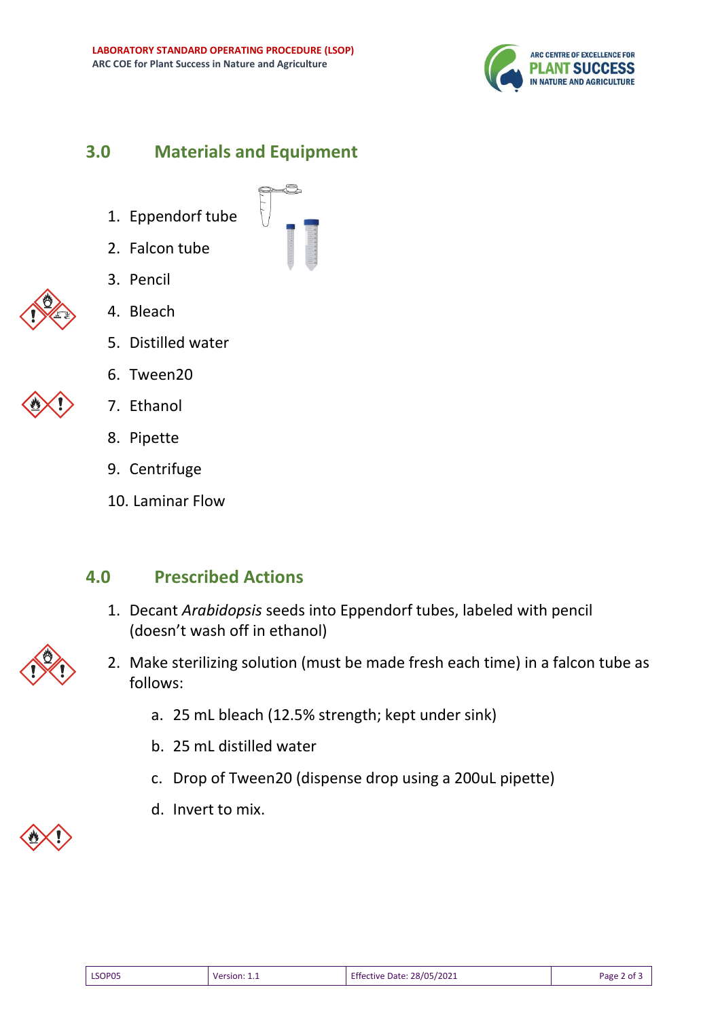

## **3.0 Materials and Equipment**

- 1. Eppendorf tube
- 2. Falcon tube
- 3. Pencil



- 4. Bleach
- 5. Distilled water
- 6. Tween20



- 7. Ethanol
- 8. Pipette
- 9. Centrifuge
- 10. Laminar Flow

### **4.0 Prescribed Actions**

- 1. Decant *Arabidopsis* seeds into Eppendorf tubes, labeled with pencil (doesn't wash off in ethanol)
- 2. Make sterilizing solution (must be made fresh each time) in a falcon tube as follows:
	- a. 25 mL bleach (12.5% strength; kept under sink)
	- b. 25 mL distilled water
	- c. Drop of Tween20 (dispense drop using a 200uL pipette)
	- d. Invert to mix.



| ٠ |
|---|
|   |

| LSOP05 | Version: | <b>Effective Date: 28/05/2021</b> | $\sim$<br>Page 2<br>` ot ≒ |
|--------|----------|-----------------------------------|----------------------------|
|        |          |                                   |                            |